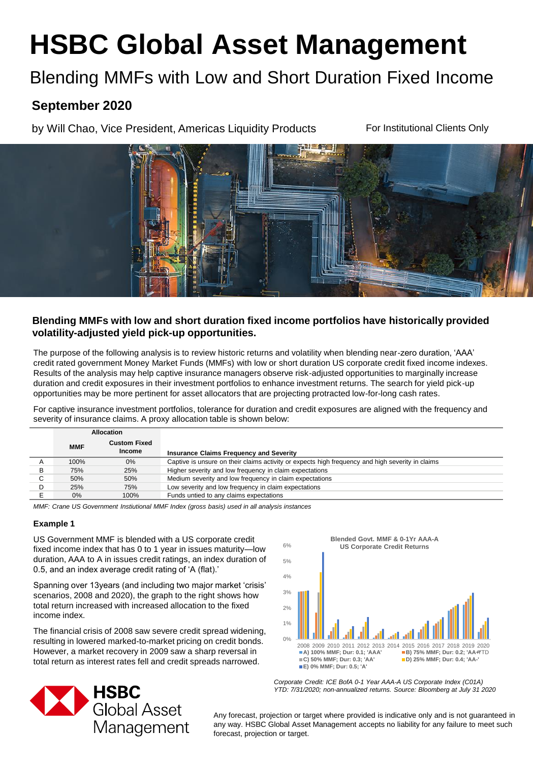# **HSBC Global Asset Management**

# Blending MMFs with Low and Short Duration Fixed Income

# **September 2020**

by Will Chao, Vice President, Americas Liquidity Products

For Institutional Clients Only



# **Blending MMFs with low and short duration fixed income portfolios have historically provided volatility-adjusted yield pick-up opportunities.**

The purpose of the following analysis is to review historic returns and volatility when blending near-zero duration, 'AAA' credit rated government Money Market Funds (MMFs) with low or short duration US corporate credit fixed income indexes. Results of the analysis may help captive insurance managers observe risk-adjusted opportunities to marginally increase duration and credit exposures in their investment portfolios to enhance investment returns. The search for yield pick-up opportunities may be more pertinent for asset allocators that are projecting protracted low-for-long cash rates.

For captive insurance investment portfolios, tolerance for duration and credit exposures are aligned with the frequency and severity of insurance claims. A proxy allocation table is shown below:

|   | <b>MMF</b> | <b>Custom Fixed</b><br><b>Income</b> | <b>Insurance Claims Frequency and Severity</b>                                                   |
|---|------------|--------------------------------------|--------------------------------------------------------------------------------------------------|
|   | 100%       | $0\%$                                | Captive is unsure on their claims activity or expects high frequency and high severity in claims |
| B | 75%        | 25%                                  | Higher severity and low frequency in claim expectations                                          |
|   | 50%        | 50%                                  | Medium severity and low frequency in claim expectations                                          |
|   | 25%        | 75%                                  | Low severity and low frequency in claim expectations                                             |
|   | $0\%$      | 100%                                 | Funds untied to any claims expectations                                                          |

*MMF: Crane US Government Instiutional MMF Index (gross basis) used in all analysis instances*

#### **Example 1**

US Government MMF is blended with a US corporate credit fixed income index that has 0 to 1 year in issues maturity—low duration, AAA to A in issues credit ratings, an index duration of 0.5, and an index average credit rating of 'A (flat).'

Spanning over 13years (and including two major market 'crisis' scenarios, 2008 and 2020), the graph to the right shows how total return increased with increased allocation to the fixed income index.

The financial crisis of 2008 saw severe credit spread widening, resulting in lowered marked-to-market pricing on credit bonds. However, a market recovery in 2009 saw a sharp reversal in total return as interest rates fell and credit spreads narrowed.





*Corporate Credit: ICE BofA 0-1 Year AAA-A US Corporate Index (C01A) YTD: 7/31/2020; non-annualized returns. Source: Bloomberg at July 31 2020*

Any forecast, projection or target where provided is indicative only and is not guaranteed in any way. HSBC Global Asset Management accepts no liability for any failure to meet such forecast, projection or target.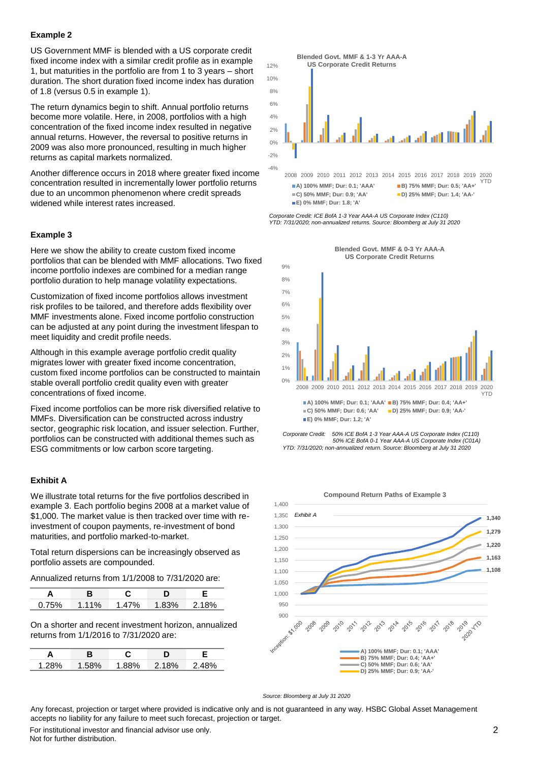#### **Example 2**

US Government MMF is blended with a US corporate credit fixed income index with a similar credit profile as in example 1, but maturities in the portfolio are from 1 to 3 years – short duration. The short duration fixed income index has duration of 1.8 (versus 0.5 in example 1).

The return dynamics begin to shift. Annual portfolio returns become more volatile. Here, in 2008, portfolios with a high concentration of the fixed income index resulted in negative annual returns. However, the reversal to positive returns in 2009 was also more pronounced, resulting in much higher returns as capital markets normalized.

Another difference occurs in 2018 where greater fixed income concentration resulted in incrementally lower portfolio returns due to an uncommon phenomenon where credit spreads widened while interest rates increased.

#### **Example 3**

Here we show the ability to create custom fixed income portfolios that can be blended with MMF allocations. Two fixed income portfolio indexes are combined for a median range portfolio duration to help manage volatility expectations.

Customization of fixed income portfolios allows investment risk profiles to be tailored, and therefore adds flexibility over MMF investments alone. Fixed income portfolio construction can be adjusted at any point during the investment lifespan to meet liquidity and credit profile needs.

Although in this example average portfolio credit quality migrates lower with greater fixed income concentration, custom fixed income portfolios can be constructed to maintain stable overall portfolio credit quality even with greater concentrations of fixed income.

Fixed income portfolios can be more risk diversified relative to MMFs. Diversification can be constructed across industry sector, geographic risk location, and issuer selection. Further, portfolios can be constructed with additional themes such as ESG commitments or low carbon score targeting.

#### **Exhibit A**

We illustrate total returns for the five portfolios described in example 3. Each portfolio begins 2008 at a market value of \$1,000. The market value is then tracked over time with reinvestment of coupon payments, re-investment of bond maturities, and portfolio marked-to-market.

Total return dispersions can be increasingly observed as portfolio assets are compounded.

Annualized returns from 1/1/2008 to 7/31/2020 are:

| 0.75% | $1.11\%$ | 1.47% | 1.83% | 2.18% |
|-------|----------|-------|-------|-------|

On a shorter and recent investment horizon, annualized returns from 1/1/2016 to 7/31/2020 are:

| 1 28% |  | 0/2 |
|-------|--|-----|



*Corporate Credit: ICE BofA 1-3 Year AAA-A US Corporate Index (C110) YTD: 7/31/2020; non-annualized returns. Source: Bloomberg at July 31 2020*



**Blended Govt. MMF & 0-3 Yr AAA-A** 





*Source: Bloomberg at July 31 2020*

Any forecast, projection or target where provided is indicative only and is not guaranteed in any way. HSBC Global Asset Management accepts no liability for any failure to meet such forecast, projection or target.

For institutional investor and financial advisor use only. Not for further distribution.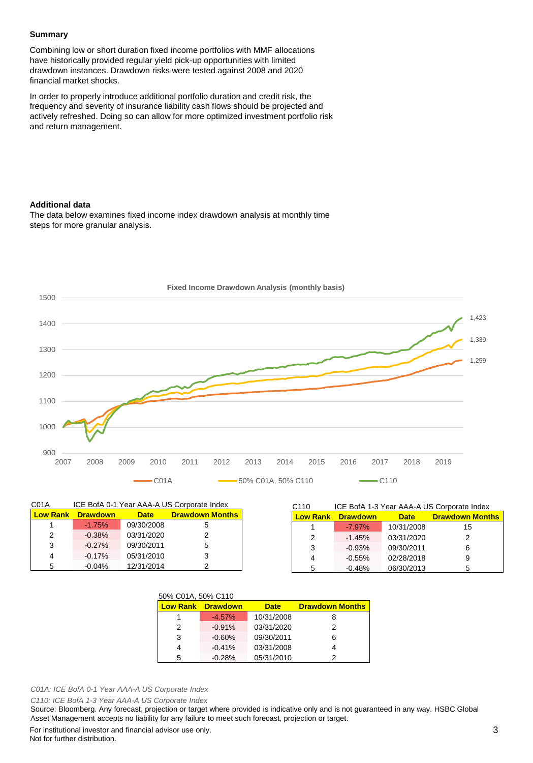#### **Summary**

Combining low or short duration fixed income portfolios with MMF allocations have historically provided regular yield pick-up opportunities with limited drawdown instances. Drawdown risks were tested against 2008 and 2020 financial market shocks.

In order to properly introduce additional portfolio duration and credit risk, the frequency and severity of insurance liability cash flows should be projected and actively refreshed. Doing so can allow for more optimized investment portfolio risk and return management.

#### **Additional data**

The data below examines fixed income index drawdown analysis at monthly time steps for more granular analysis.



| ICE BofA 0-1 Year AAA-A US Corporate Index<br>C01A |                 |             |                        |
|----------------------------------------------------|-----------------|-------------|------------------------|
| <b>Low Rank</b>                                    | <b>Drawdown</b> | <b>Date</b> | <b>Drawdown Months</b> |
|                                                    | $-1.75%$        | 09/30/2008  | 5                      |
| 2                                                  | $-0.38%$        | 03/31/2020  | 2                      |
| 3                                                  | $-0.27%$        | 09/30/2011  | 5                      |
| 4                                                  | $-0.17%$        | 05/31/2010  | 3                      |
| 5                                                  | $-0.04%$        | 12/31/2014  |                        |

| ICE BofA 1-3 Year AAA-A US Corporate Index<br>C <sub>110</sub> |                 |             |                        |  |
|----------------------------------------------------------------|-----------------|-------------|------------------------|--|
| <b>Low Rank</b>                                                | <b>Drawdown</b> | <b>Date</b> | <b>Drawdown Months</b> |  |
|                                                                | $-7.97\%$       | 10/31/2008  | 15                     |  |
| 2                                                              | $-1.45%$        | 03/31/2020  | 2                      |  |
| 3                                                              | $-0.93%$        | 09/30/2011  | 6                      |  |
| 4                                                              | $-0.55%$        | 02/28/2018  | 9                      |  |
| 5                                                              | $-0.48%$        | 06/30/2013  | 5                      |  |

| 50% C01A, 50% C110 |                          |             |                        |  |
|--------------------|--------------------------|-------------|------------------------|--|
|                    | <b>Low Rank Drawdown</b> | <b>Date</b> | <b>Drawdown Months</b> |  |
|                    | $-4.57%$                 | 10/31/2008  | 8                      |  |
| 2                  | $-0.91%$                 | 03/31/2020  | 2                      |  |
| 3                  | $-0.60%$                 | 09/30/2011  | 6                      |  |
|                    | $-0.41%$                 | 03/31/2008  |                        |  |
| 5                  | $-0.28%$                 | 05/31/2010  | 2                      |  |

*C01A: ICE BofA 0-1 Year AAA-A US Corporate Index*

*C110: ICE BofA 1-3 Year AAA-A US Corporate Index*

Source: Bloomberg. Any forecast, projection or target where provided is indicative only and is not guaranteed in any way. HSBC Global Asset Management accepts no liability for any failure to meet such forecast, projection or target.

For institutional investor and financial advisor use only. Not for further distribution.